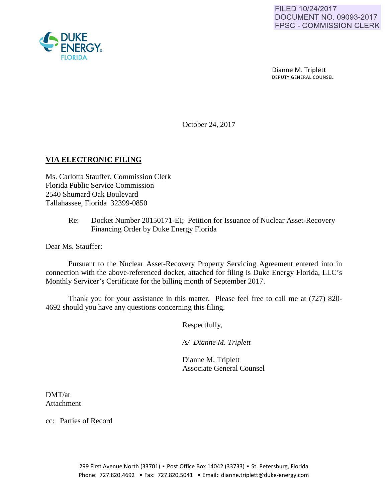Dianne M. Triplett DEPUTY GENERAL COUNSEL

October 24, 2017

# **VIA ELECTRONIC FILING**

Ms. Carlotta Stauffer, Commission Clerk Florida Public Service Commission 2540 Shumard Oak Boulevard Tallahassee, Florida 32399-0850

> Re: Docket Number 20150171-EI; Petition for Issuance of Nuclear Asset-Recovery Financing Order by Duke Energy Florida

Dear Ms. Stauffer:

Pursuant to the Nuclear Asset-Recovery Property Servicing Agreement entered into in connection with the above-referenced docket, attached for filing is Duke Energy Florida, LLC's Monthly Servicer's Certificate for the billing month of September 2017.

Thank you for your assistance in this matter. Please feel free to call me at (727) 820- 4692 should you have any questions concerning this filing.

Respectfully,

 */s/ Dianne M. Triplett*

 Dianne M. Triplett Associate General Counsel

DMT/at Attachment

cc: Parties of Record

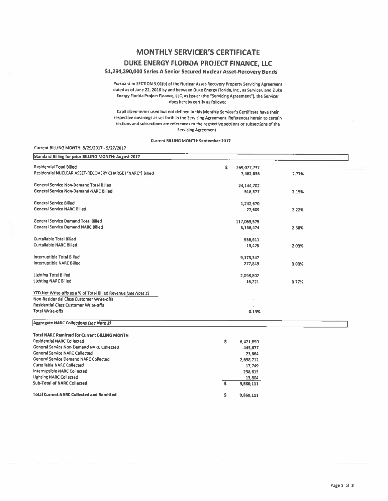# **MONTHLY SERVICER'S CERTIFICATE**

### DUKE ENERGY FLORIDA PROJECT FINANCE. LLC

#### \$1,294,290,000 Series A Senior Secured Nuclear Asset-Recovery Bonds

Pursuant to SECTION 3.01(b) of the Nuclear Asset-Recovery Property Servicing Agreement dated as of June 22, 2016 by and between Ouke Energy Florida, Inc., as Servicer, and Duke Energy Florida Project Finance, LLC, as Issuer (the "Servicing Agreement"), the Servicer does hereby certify as follows:

Capitalized terms used but not defined in this Monthly Servicer's Certificate have their respective meanings as set forth in the Servicing Agreement. References herein to certain sections and subsections are references to the respective sections or subsections of the **Servicing Agreement.** 

Current BILLING MONTH: September 2017

#### Current BILLING MONTH: 8/29/2017 - 9/27/2017

| Standard Billing for prior BILLING MONTH: August 2017          |                   |       |  |
|----------------------------------------------------------------|-------------------|-------|--|
| <b>Residential Total Billed</b>                                | \$<br>269,077,737 |       |  |
| Residential NUCLEAR ASSET-RECOVERY CHARGE ("NARC") Billed      | 7,462,636         | 2.77% |  |
| General Service Non-Demand Total Billed                        | 24,144,702        |       |  |
| General Service Non-Demand NARC Billed                         | 518,377           | 2.15% |  |
|                                                                |                   |       |  |
| <b>General Service Billed</b>                                  | 1,242,670         |       |  |
| <b>General Service NARC Billed</b>                             | 27,609            | 2.22% |  |
| <b>General Service Demand Total Billed</b>                     | 117,069,575       |       |  |
| <b>General Service Demand NARC Billed</b>                      | 3,136,474         | 2.68% |  |
| <b>Curtailable Total Billed</b>                                | 956.611           |       |  |
| <b>Curtailable NARC Billed</b>                                 | 19,425            | 2.03% |  |
| Interruptible Total Billed                                     | 9,173,347         |       |  |
| Interruptible NARC Billed                                      | 277,849           | 3.03% |  |
| <b>Lighting Total Billed</b>                                   | 2,098,802         |       |  |
| <b>Lighting NARC Billed</b>                                    | 16,221            | 0.77% |  |
| YTD Net Write-offs as a % of Total Billed Revenue (see Note 1) |                   |       |  |
| Non-Residential Class Customer Write-offs                      |                   |       |  |
| <b>Residential Class Customer Write-offs</b>                   |                   |       |  |
| <b>Total Write-offs</b>                                        | 0.13%             |       |  |
| <b>Aggregate NARC Collections (see Note 2)</b>                 |                   |       |  |
| <b>Total NARC Remitted for Current BILLING MONTH</b>           |                   |       |  |
| <b>Residential NARC Collected</b>                              | \$<br>6,421,890   |       |  |
| General Service Non-Demand NARC Collected                      | 445,677           |       |  |
| <b>General Service NARC Collected</b>                          | 23,664            |       |  |
| <b>General Service Demand NARC Collected</b>                   | 2,698,712         |       |  |
| <b>Curtailable NARC Collected</b>                              | 17,749            |       |  |
| Interruptible NARC Collected                                   | 238,615           |       |  |
| <b>Lighting NARC Collected</b>                                 | 13,804            |       |  |

13,804

9,860,111

9,860,111

\$

\$

**Total Current NARC Collected and Remitted** 

**Sub-Total of NARC Collected**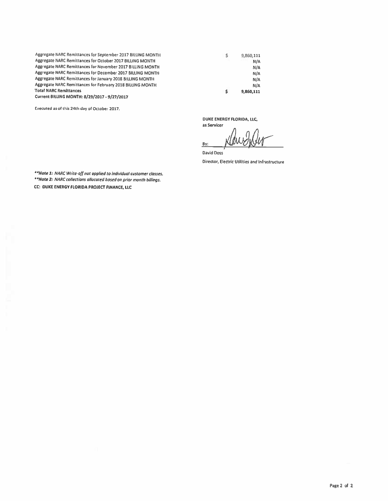Aggregate NARC Remittances for September 2017 BilliNG MONTH Aggregate NARC Remittances for October 2017 BILliNG MONTH Aggregate NARC Remittances for November 2017 BilliNG MONTH Aggregate NARC Remittances for December 2017 BilliNG MONTH Aggregate NARC Remittances for January 2018 BllliNG MONTH Aggregate NARC Remittances for February 2018 BilliNG MONTH Total NARC Remittances

Current BILUNG MONTH: 8/29/2017-9/27/2017

Executed as of this 24th day of October 2017.

DUKE ENERGY FLORIDA, lLC,

s

9,860,111 N/A N/A N/A N/A N/A 9,860,111

\$

as Servicer By : ~

David Doss

Director , Electric Utilities and Infrastructure

*.. NDt•l: NARC Write-off not applied to individual* customer cJosses. *••NDte 2: NARC* collections *o//ocoted* bosed *on prior month billings.*  CC: DUKE ENERGY FLORIDA PROJECT FINANCE, LLC